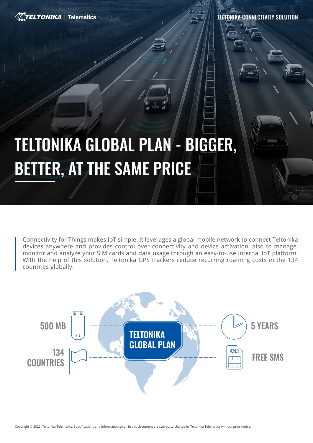

TELTONIKA CONNECTIVITY SOLUTION

# TELTONIKA GLOBAL PLAN - BIGGER, BETTER, AT THE SAME PRICE

Connectivity for Things makes IoT simple. It leverages a global mobile network to connect Teltonika devices anywhere and provides control over connectivity and device activation, also to manage, monitor and analyze your SIM cards and data usage through an easy-to-use internal IoT platform. With the help of this solution, Teltonika GPS trackers reduce recurring roaming costs in the 134 countries globally.